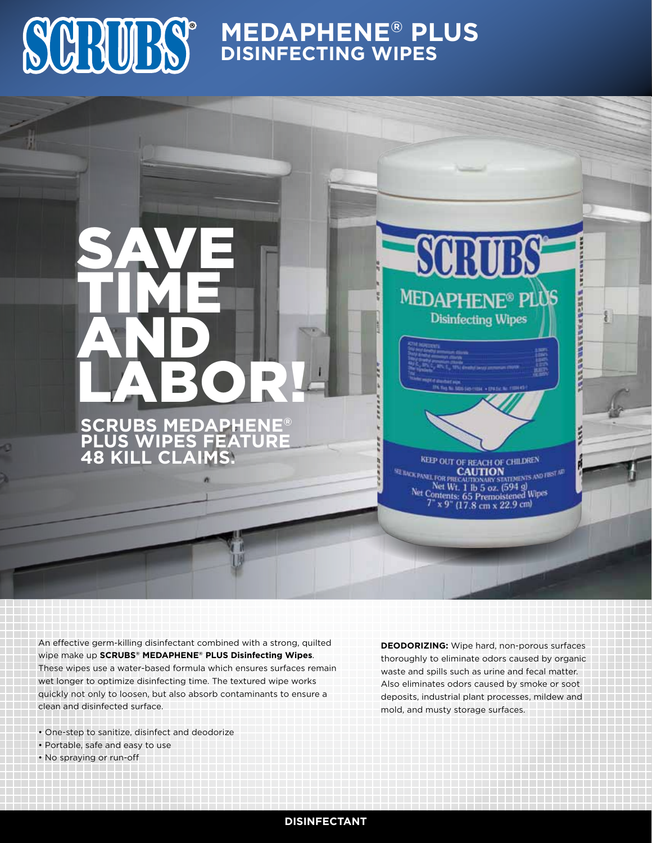# **MEDAPHENE® PLUS DISINFECTING WIPES**

LABOR! **SCRUBS MEDAPHENE® PLUS WIPES F 48 Kill Claims.**

SAVE

TIME

AND

SCRUBS **MEDAPHENE® PLUS Disinfecting Wipes** 

**LEERSMAKERGEER** 

KEEP OUT OF REACH OF CHILDREN **ENTS AND FIRST ART CAUTION** E BACK PANEL FOR PRES Net Wt. 1 lb 5 oz. (594 g)<br>Net Contents: 65 Premoistened Wipes<br> $7^{\circ} \times 9^{\circ}$  (17.8 cm x 22.9 cm)

An effective germ-killing disinfectant combined with a strong, quilted wipe make up **SCRUBS® MEDAPHENE® PLUS Disinfecting Wipes**. These wipes use a water-based formula which ensures surfaces remain wet longer to optimize disinfecting time. The textured wipe works quickly not only to loosen, but also absorb contaminants to ensure a clean and disinfected surface.

- One-step to sanitize, disinfect and deodorize
- Portable, safe and easy to use
- No spraying or run-off

**DEODORIZING:** Wipe hard, non-porous surfaces thoroughly to eliminate odors caused by organic waste and spills such as urine and fecal matter. Also eliminates odors caused by smoke or soot deposits, industrial plant processes, mildew and mold, and musty storage surfaces.